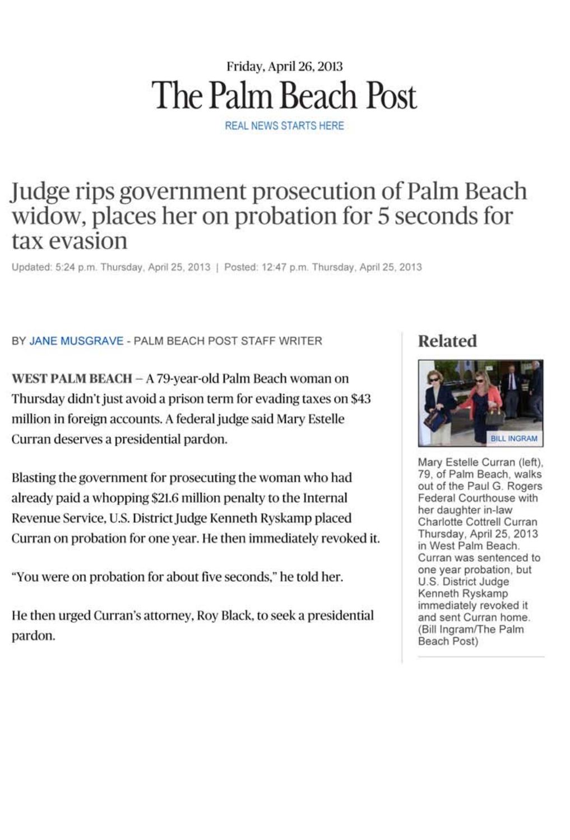# Friday, April 26, 2013 The Palm Beach Post

REAL NEWS STARTS HERE

## Judge rips government prosecution of Palm Beach widow, places her on probation for 5 seconds for tax evasion

Updated: 5:24 p.m. Thursday, April 25, 2013 | Posted: 12:47 p.m. Thursday, April 25, 2013

#### BY JANE MUSGRAVE - PALM BEACH POST STAFF WRITER

WEST PALM BEACH - A 79-year-old Palm Beach woman on Thursday didn't just avoid a prison term for evading taxes on \$43 million in foreign accounts. A federal judge said Mary Estelle Curran deserves a presidential pardon.

Blasting the government for prosecuting the woman who had already paid a whopping \$21.6 million penalty to the Internal Revenue Service, U.S. District Judge Kenneth Ryskamp placed Curran on probation for one year. He then immediately revoked it.

"You were on probation for about five seconds," he told her.

He then urged Curran's attorney, Roy Black, to seek a presidential pardon.

### Related



Mary Estelle Curran (left). 79, of Palm Beach, walks out of the Paul G. Rogers Federal Courthouse with her daughter in-law Charlotte Cottrell Curran Thursday, April 25, 2013 in West Palm Beach. Curran was sentenced to one year probation, but U.S. District Judge Kenneth Ryskamp immediately revoked it and sent Curran home. (Bill Ingram/The Palm Beach Post)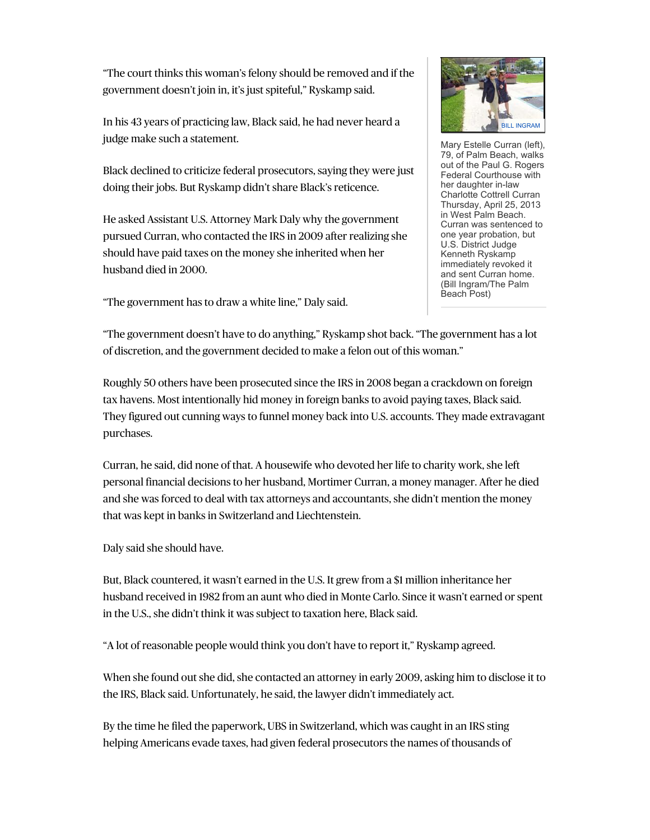"The court thinks this woman's felony should be removed and if the government doesn't join in, it's just spiteful," Ryskamp said.

In his 43 years of practicing law, Black said, he had never heard a judge make such a statement.

Black declined to criticize federal prosecutors, saying they were just doing their jobs. But Ryskamp didn't share Black's reticence.

He asked Assistant U.S. Attorney Mark Daly why the government pursued Curran, who contacted the IRS in 2009 after realizing she should have paid taxes on the money she inherited when her husband died in 2000.

"The government has to draw a white line," Daly said.



Mary Estelle Curran (left), 79, of Palm Beach, walks out of the Paul G. Rogers Federal Courthouse with her daughter in-law Charlotte Cottrell Curran Thursday, April 25, 2013 in West Palm Beach. Curran was sentenced to one year probation, but U.S. District Judge Kenneth Ryskamp immediately revoked it and sent Curran home. (Bill Ingram/The Palm Beach Post)

"The government doesn't have to do anything," Ryskamp shot back. "The government has a lot of discretion, and the government decided to make a felon out of this woman."

Roughly 50 others have been prosecuted since the IRS in 2008 began a crackdown on foreign tax havens. Most intentionally hid money in foreign banks to avoid paying taxes, Black said. They figured out cunning ways to funnel money back into U.S. accounts. They made extravagant purchases.

Curran, he said, did none of that. A housewife who devoted her life to charity work, she left personal financial decisions to her husband, Mortimer Curran, a money manager. After he died and she was forced to deal with tax attorneys and accountants, she didn't mention the money that was kept in banks in Switzerland and Liechtenstein.

Daly said she should have.

But, Black countered, it wasn't earned in the U.S. It grew from a \$1 million inheritance her husband received in 1982 from an aunt who died in Monte Carlo. Since it wasn't earned or spent in the U.S., she didn't think it was subject to taxation here, Black said.

"A lot of reasonable people would think you don't have to report it," Ryskamp agreed.

When she found out she did, she contacted an attorney in early 2009, asking him to disclose it to the IRS, Black said. Unfortunately, he said, the lawyer didn't immediately act.

By the time he filed the paperwork, UBS in Switzerland, which was caught in an IRS sting helping Americans evade taxes, had given federal prosecutors the names of thousands of